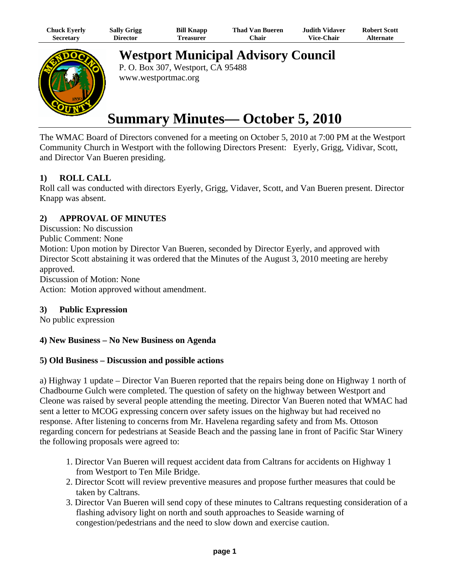| Chuck Eyerly | <b>Sally Grigg</b> | <b>Bill Knapp</b> | <b>Thad Van Bueren</b> | Judith Vidaver.   | <b>Robert Scott</b> |
|--------------|--------------------|-------------------|------------------------|-------------------|---------------------|
| Secretary    | <b>Director</b>    | l'reasurer        | ∵hair                  | <b>Vice-Chair</b> | <b>Alternate</b>    |



**Westport Municipal Advisory Council**

P. O. Box 307, Westport, CA 95488 www.westportmac.org

# **Summary Minutes— October 5, 2010**

The WMAC Board of Directors convened for a meeting on October 5, 2010 at 7:00 PM at the Westport Community Church in Westport with the following Directors Present: Eyerly, Grigg, Vidivar, Scott, and Director Van Bueren presiding.

# **1) ROLL CALL**

Roll call was conducted with directors Eyerly, Grigg, Vidaver, Scott, and Van Bueren present. Director Knapp was absent.

# **2) APPROVAL OF MINUTES**

Discussion: No discussion Public Comment: None Motion: Upon motion by Director Van Bueren, seconded by Director Eyerly, and approved with Director Scott abstaining it was ordered that the Minutes of the August 3, 2010 meeting are hereby approved. Discussion of Motion: None

Action: Motion approved without amendment.

# **3) Public Expression**

No public expression

## **4) New Business – No New Business on Agenda**

## **5) Old Business – Discussion and possible actions**

a) Highway 1 update – Director Van Bueren reported that the repairs being done on Highway 1 north of Chadbourne Gulch were completed. The question of safety on the highway between Westport and Cleone was raised by several people attending the meeting. Director Van Bueren noted that WMAC had sent a letter to MCOG expressing concern over safety issues on the highway but had received no response. After listening to concerns from Mr. Havelena regarding safety and from Ms. Ottoson regarding concern for pedestrians at Seaside Beach and the passing lane in front of Pacific Star Winery the following proposals were agreed to:

- 1. Director Van Bueren will request accident data from Caltrans for accidents on Highway 1 from Westport to Ten Mile Bridge.
- 2. Director Scott will review preventive measures and propose further measures that could be taken by Caltrans.
- 3. Director Van Bueren will send copy of these minutes to Caltrans requesting consideration of a flashing advisory light on north and south approaches to Seaside warning of congestion/pedestrians and the need to slow down and exercise caution.